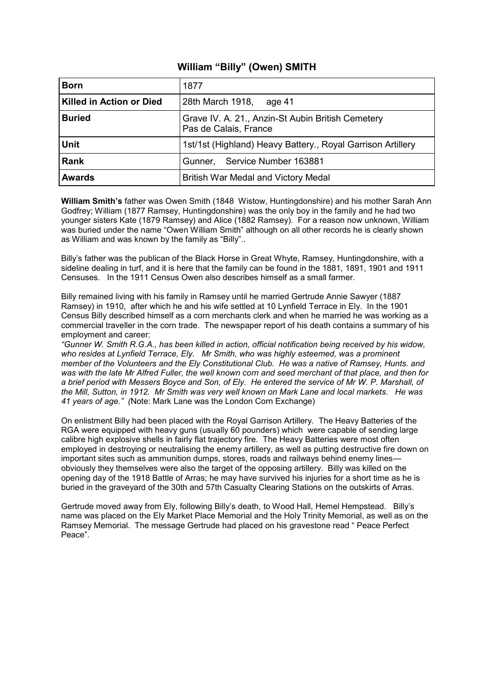### **William "Billy" (Owen) SMITH**

| <b>Born</b>                     | 1877                                                                       |
|---------------------------------|----------------------------------------------------------------------------|
| <b>Killed in Action or Died</b> | 28th March 1918,<br>age 41                                                 |
| <b>Buried</b>                   | Grave IV. A. 21., Anzin-St Aubin British Cemetery<br>Pas de Calais, France |
| <b>Unit</b>                     | 1st/1st (Highland) Heavy Battery., Royal Garrison Artillery                |
| Rank                            | Gunner, Service Number 163881                                              |
| <b>Awards</b>                   | British War Medal and Victory Medal                                        |

**William Smith's** father was Owen Smith (1848 Wistow, Huntingdonshire) and his mother Sarah Ann Godfrey; William (1877 Ramsey, Huntingdonshire) was the only boy in the family and he had two younger sisters Kate (1879 Ramsey) and Alice (1882 Ramsey). For a reason now unknown, William was buried under the name "Owen William Smith" although on all other records he is clearly shown as William and was known by the family as "Billy"..

Billy's father was the publican of the Black Horse in Great Whyte, Ramsey, Huntingdonshire, with a sideline dealing in turf, and it is here that the family can be found in the 1881, 1891, 1901 and 1911 Censuses. In the 1911 Census Owen also describes himself as a small farmer.

Billy remained living with his family in Ramsey until he married Gertrude Annie Sawyer (1887 Ramsey) in 1910, after which he and his wife settled at 10 Lynfield Terrace in Ely. In the 1901 Census Billy described himself as a corn merchants clerk and when he married he was working as a commercial traveller in the corn trade. The newspaper report of his death contains a summary of his employment and career:

*"Gunner W. Smith R.G.A., has been killed in action, official notification being received by his widow, who resides at Lynfield Terrace, Ely. Mr Smith, who was highly esteemed, was a prominent member of the Volunteers and the Ely Constitutional Club. He was a native of Ramsey, Hunts. and was with the late Mr Alfred Fuller, the well known corn and seed merchant of that place, and then for a brief period with Messers Boyce and Son, of Ely. He entered the service of Mr W. P. Marshall, of the Mill, Sutton, in 1912. Mr Smith was very well known on Mark Lane and local markets. He was 41 years of age." (*Note: Mark Lane was the London Corn Exchange)

On enlistment Billy had been placed with the Royal Garrison Artillery. The Heavy Batteries of the RGA were equipped with heavy guns (usually 60 pounders) which were capable of sending large calibre high explosive shells in fairly flat trajectory fire. The Heavy Batteries were most often employed in destroying or neutralising the enemy artillery, as well as putting destructive fire down on important sites such as ammunition dumps, stores, roads and railways behind enemy lines obviously they themselves were also the target of the opposing artillery. Billy was killed on the opening day of the 1918 Battle of Arras; he may have survived his injuries for a short time as he is buried in the graveyard of the 30th and 57th Casualty Clearing Stations on the outskirts of Arras.

Gertrude moved away from Ely, following Billy's death, to Wood Hall, Hemel Hempstead. Billy's name was placed on the Ely Market Place Memorial and the Holy Trinity Memorial, as well as on the Ramsey Memorial. The message Gertrude had placed on his gravestone read " Peace Perfect Peace".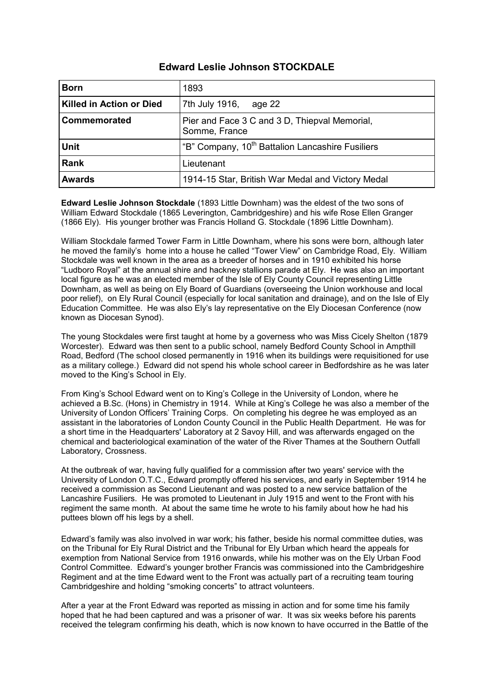### **Edward Leslie Johnson STOCKDALE**

| <b>Born</b>                     | 1893                                                           |
|---------------------------------|----------------------------------------------------------------|
| <b>Killed in Action or Died</b> | 7th July 1916,<br>age 22                                       |
| Commemorated                    | Pier and Face 3 C and 3 D, Thiepval Memorial,<br>Somme, France |
| <b>Unit</b>                     | "B" Company, 10 <sup>th</sup> Battalion Lancashire Fusiliers   |
| <b>Rank</b>                     | Lieutenant                                                     |
| <b>Awards</b>                   | 1914-15 Star, British War Medal and Victory Medal              |

**Edward Leslie Johnson Stockdale** (1893 Little Downham) was the eldest of the two sons of William Edward Stockdale (1865 Leverington, Cambridgeshire) and his wife Rose Ellen Granger (1866 Ely). His younger brother was Francis Holland G. Stockdale (1896 Little Downham).

William Stockdale farmed Tower Farm in Little Downham, where his sons were born, although later he moved the family's home into a house he called "Tower View" on Cambridge Road, Ely. William Stockdale was well known in the area as a breeder of horses and in 1910 exhibited his horse "Ludboro Royal" at the annual shire and hackney stallions parade at Ely. He was also an important local figure as he was an elected member of the Isle of Ely County Council representing Little Downham, as well as being on Ely Board of Guardians (overseeing the Union workhouse and local poor relief), on Ely Rural Council (especially for local sanitation and drainage), and on the Isle of Ely Education Committee. He was also Ely's lay representative on the Ely Diocesan Conference (now known as Diocesan Synod).

The young Stockdales were first taught at home by a governess who was Miss Cicely Shelton (1879 Worcester). Edward was then sent to a public school, namely Bedford County School in Ampthill Road, Bedford (The school closed permanently in 1916 when its buildings were requisitioned for use as a military college.) Edward did not spend his whole school career in Bedfordshire as he was later moved to the King's School in Ely.

From King's School Edward went on to King's College in the University of London, where he achieved a B.Sc. (Hons) in Chemistry in 1914. While at King's College he was also a member of the University of London Officers' Training Corps. On completing his degree he was employed as an assistant in the laboratories of London County Council in the Public Health Department. He was for a short time in the Headquarters' Laboratory at 2 Savoy Hill, and was afterwards engaged on the chemical and bacteriological examination of the water of the River Thames at the Southern Outfall Laboratory, Crossness.

At the outbreak of war, having fully qualified for a commission after two years' service with the University of London O.T.C., Edward promptly offered his services, and early in September 1914 he received a commission as Second Lieutenant and was posted to a new service battalion of the Lancashire Fusiliers. He was promoted to Lieutenant in July 1915 and went to the Front with his regiment the same month. At about the same time he wrote to his family about how he had his puttees blown off his legs by a shell.

Edward's family was also involved in war work; his father, beside his normal committee duties, was on the Tribunal for Ely Rural District and the Tribunal for Ely Urban which heard the appeals for exemption from National Service from 1916 onwards, while his mother was on the Ely Urban Food Control Committee. Edward's younger brother Francis was commissioned into the Cambridgeshire Regiment and at the time Edward went to the Front was actually part of a recruiting team touring Cambridgeshire and holding "smoking concerts" to attract volunteers.

After a year at the Front Edward was reported as missing in action and for some time his family hoped that he had been captured and was a prisoner of war. It was six weeks before his parents received the telegram confirming his death, which is now known to have occurred in the Battle of the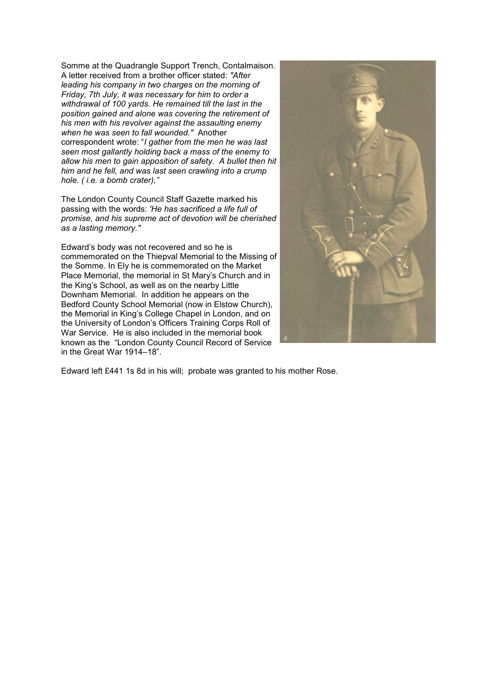Somme at the Quadrangle Support Trench, Contalmaison. A letter received from a brother officer stated: *"After leading his company in two charges on the morning of Friday, 7th July, it was necessary for him to order a withdrawal of 100 yards. He remained till the last in the position gained and alone was covering the retirement of his men with his revolver against the assaulting enemy when he was seen to fall wounded."* Another correspondent wrote: "*I gather from the men he was last seen most gallantly holding back a mass of the enemy to allow his men to gain apposition of safety. A bullet then hit him and he fell, and was last seen crawling into a crump hole. ( i.e. a bomb crater),"*

The London County Council Staff Gazette marked his passing with the words: *'He has sacrificed a life full of promise, and his supreme act of devotion will be cherished as a lasting memory."*

Edward's body was not recovered and so he is commemorated on the Thiepval Memorial to the Missing of the Somme. In Ely he is commemorated on the Market Place Memorial, the memorial in St Mary's Church and in the King's School, as well as on the nearby Little Downham Memorial. In addition he appears on the Bedford County School Memorial (now in Elstow Church), the Memorial in King's College Chapel in London, and on the University of London's Officers Training Corps Roll of War Service. He is also included in the memorial book known as the "London County Council Record of Service in the Great War 1914–18".



Edward left £441 1s 8d in his will; probate was granted to his mother Rose.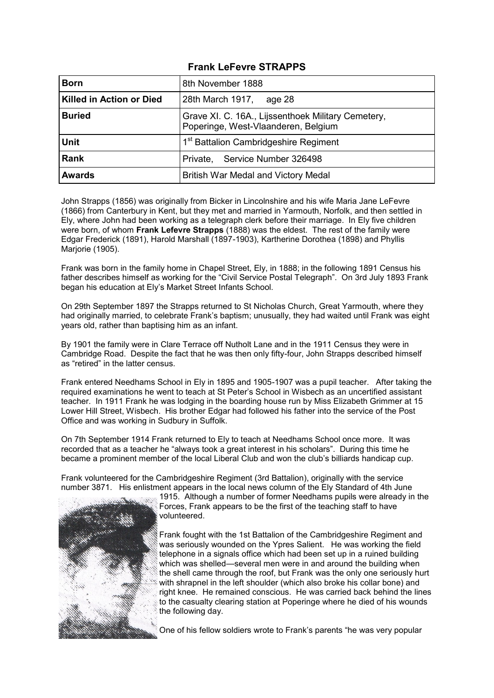# **Frank LeFevre STRAPPS**

| <b>Born</b>                     | 8th November 1888                                                                         |
|---------------------------------|-------------------------------------------------------------------------------------------|
| <b>Killed in Action or Died</b> | 28th March 1917,<br>age 28                                                                |
| <b>Buried</b>                   | Grave XI. C. 16A., Lijssenthoek Military Cemetery,<br>Poperinge, West-Vlaanderen, Belgium |
| <b>Unit</b>                     | 1 <sup>st</sup> Battalion Cambridgeshire Regiment                                         |
| Rank                            | Private, Service Number 326498                                                            |
| <b>Awards</b>                   | British War Medal and Victory Medal                                                       |

John Strapps (1856) was originally from Bicker in Lincolnshire and his wife Maria Jane LeFevre (1866) from Canterbury in Kent, but they met and married in Yarmouth, Norfolk, and then settled in Ely, where John had been working as a telegraph clerk before their marriage. In Ely five children were born, of whom **Frank Lefevre Strapps** (1888) was the eldest. The rest of the family were Edgar Frederick (1891), Harold Marshall (1897-1903), Kartherine Dorothea (1898) and Phyllis Marjorie (1905).

Frank was born in the family home in Chapel Street, Ely, in 1888; in the following 1891 Census his father describes himself as working for the "Civil Service Postal Telegraph". On 3rd July 1893 Frank began his education at Ely's Market Street Infants School.

On 29th September 1897 the Strapps returned to St Nicholas Church, Great Yarmouth, where they had originally married, to celebrate Frank's baptism; unusually, they had waited until Frank was eight years old, rather than baptising him as an infant.

By 1901 the family were in Clare Terrace off Nutholt Lane and in the 1911 Census they were in Cambridge Road. Despite the fact that he was then only fifty-four, John Strapps described himself as "retired" in the latter census.

Frank entered Needhams School in Ely in 1895 and 1905-1907 was a pupil teacher. After taking the required examinations he went to teach at St Peter's School in Wisbech as an uncertified assistant teacher. In 1911 Frank he was lodging in the boarding house run by Miss Elizabeth Grimmer at 15 Lower Hill Street, Wisbech. His brother Edgar had followed his father into the service of the Post Office and was working in Sudbury in Suffolk.

On 7th September 1914 Frank returned to Ely to teach at Needhams School once more. It was recorded that as a teacher he "always took a great interest in his scholars". During this time he became a prominent member of the local Liberal Club and won the club's billiards handicap cup.

Frank volunteered for the Cambridgeshire Regiment (3rd Battalion), originally with the service number 3871. His enlistment appears in the local news column of the Ely Standard of 4th June



1915. Although a number of former Needhams pupils were already in the Forces, Frank appears to be the first of the teaching staff to have volunteered.

Frank fought with the 1st Battalion of the Cambridgeshire Regiment and was seriously wounded on the Ypres Salient. He was working the field telephone in a signals office which had been set up in a ruined building which was shelled—several men were in and around the building when the shell came through the roof, but Frank was the only one seriously hurt with shrapnel in the left shoulder (which also broke his collar bone) and right knee. He remained conscious. He was carried back behind the lines to the casualty clearing station at Poperinge where he died of his wounds the following day.

One of his fellow soldiers wrote to Frank's parents "he was very popular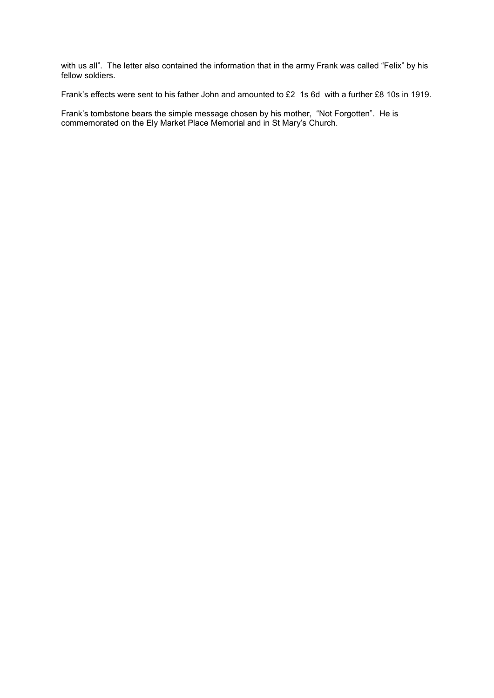with us all". The letter also contained the information that in the army Frank was called "Felix" by his fellow soldiers.

Frank's effects were sent to his father John and amounted to £2 1s 6d with a further £8 10s in 1919.

Frank's tombstone bears the simple message chosen by his mother, "Not Forgotten". He is commemorated on the Ely Market Place Memorial and in St Mary's Church.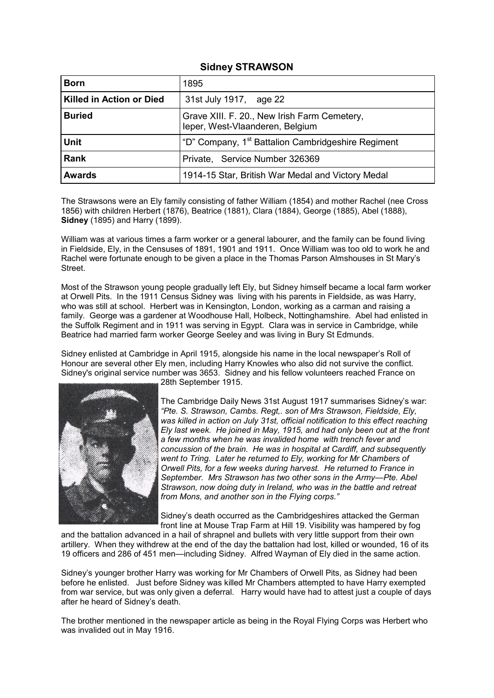## **Sidney STRAWSON**

| <b>Born</b>                     | 1895                                                                            |
|---------------------------------|---------------------------------------------------------------------------------|
| <b>Killed in Action or Died</b> | 31st July 1917, age 22                                                          |
| <b>Buried</b>                   | Grave XIII. F. 20., New Irish Farm Cemetery,<br>leper, West-Vlaanderen, Belgium |
| <b>Unit</b>                     | "D" Company, 1 <sup>st</sup> Battalion Cambridgeshire Regiment                  |
| Rank                            | Private, Service Number 326369                                                  |
| <b>Awards</b>                   | 1914-15 Star, British War Medal and Victory Medal                               |

The Strawsons were an Ely family consisting of father William (1854) and mother Rachel (nee Cross 1856) with children Herbert (1876), Beatrice (1881), Clara (1884), George (1885), Abel (1888), **Sidney** (1895) and Harry (1899).

William was at various times a farm worker or a general labourer, and the family can be found living in Fieldside, Ely, in the Censuses of 1891, 1901 and 1911. Once William was too old to work he and Rachel were fortunate enough to be given a place in the Thomas Parson Almshouses in St Mary's Street.

Most of the Strawson young people gradually left Ely, but Sidney himself became a local farm worker at Orwell Pits. In the 1911 Census Sidney was living with his parents in Fieldside, as was Harry, who was still at school. Herbert was in Kensington, London, working as a carman and raising a family. George was a gardener at Woodhouse Hall, Holbeck, Nottinghamshire. Abel had enlisted in the Suffolk Regiment and in 1911 was serving in Egypt. Clara was in service in Cambridge, while Beatrice had married farm worker George Seeley and was living in Bury St Edmunds.

Sidney enlisted at Cambridge in April 1915, alongside his name in the local newspaper's Roll of Honour are several other Ely men, including Harry Knowles who also did not survive the conflict. Sidney's original service number was 3653. Sidney and his fellow volunteers reached France on



28th September 1915.

The Cambridge Daily News 31st August 1917 summarises Sidney's war: *"Pte. S. Strawson, Cambs. Regt,. son of Mrs Strawson, Fieldside, Ely,*  was killed in action on July 31st, official notification to this effect reaching *Ely last week. He joined in May, 1915, and had only been out at the front a few months when he was invalided home with trench fever and concussion of the brain. He was in hospital at Cardiff, and subsequently went to Tring. Later he returned to Ely, working for Mr Chambers of Orwell Pits, for a few weeks during harvest. He returned to France in September. Mrs Strawson has two other sons in the Army—Pte. Abel Strawson, now doing duty in Ireland, who was in the battle and retreat from Mons, and another son in the Flying corps."*

Sidney's death occurred as the Cambridgeshires attacked the German front line at Mouse Trap Farm at Hill 19. Visibility was hampered by fog

and the battalion advanced in a hail of shrapnel and bullets with very little support from their own artillery. When they withdrew at the end of the day the battalion had lost, killed or wounded, 16 of its 19 officers and 286 of 451 men—including Sidney. Alfred Wayman of Ely died in the same action.

Sidney's younger brother Harry was working for Mr Chambers of Orwell Pits, as Sidney had been before he enlisted. Just before Sidney was killed Mr Chambers attempted to have Harry exempted from war service, but was only given a deferral. Harry would have had to attest just a couple of days after he heard of Sidney's death.

The brother mentioned in the newspaper article as being in the Royal Flying Corps was Herbert who was invalided out in May 1916.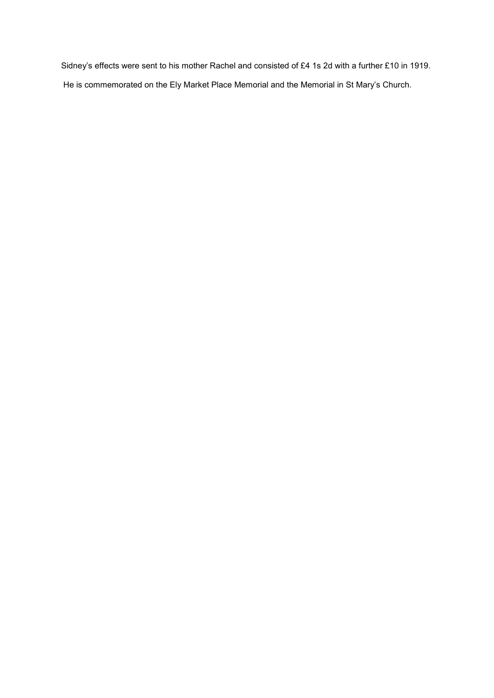Sidney's effects were sent to his mother Rachel and consisted of £4 1s 2d with a further £10 in 1919. He is commemorated on the Ely Market Place Memorial and the Memorial in St Mary's Church.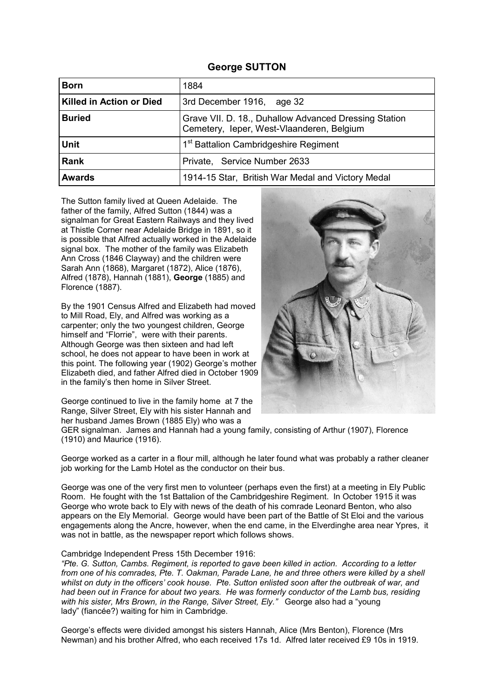#### **George SUTTON**

| <b>Born</b>                     | 1884                                                                                               |
|---------------------------------|----------------------------------------------------------------------------------------------------|
| <b>Killed in Action or Died</b> | 3rd December 1916, age 32                                                                          |
| <b>Buried</b>                   | Grave VII. D. 18., Duhallow Advanced Dressing Station<br>Cemetery, Ieper, West-Vlaanderen, Belgium |
| <b>Unit</b>                     | 1 <sup>st</sup> Battalion Cambridgeshire Regiment                                                  |
| Rank                            | Private, Service Number 2633                                                                       |
| <b>Awards</b>                   | 1914-15 Star, British War Medal and Victory Medal                                                  |

The Sutton family lived at Queen Adelaide. The father of the family, Alfred Sutton (1844) was a signalman for Great Eastern Railways and they lived at Thistle Corner near Adelaide Bridge in 1891, so it is possible that Alfred actually worked in the Adelaide signal box. The mother of the family was Elizabeth Ann Cross (1846 Clayway) and the children were Sarah Ann (1868), Margaret (1872), Alice (1876), Alfred (1878), Hannah (1881), **George** (1885) and Florence (1887).

By the 1901 Census Alfred and Elizabeth had moved to Mill Road, Ely, and Alfred was working as a carpenter; only the two youngest children, George himself and "Florrie", were with their parents. Although George was then sixteen and had left school, he does not appear to have been in work at this point. The following year (1902) George's mother Elizabeth died, and father Alfred died in October 1909 in the family's then home in Silver Street.

George continued to live in the family home at 7 the Range, Silver Street, Ely with his sister Hannah and her husband James Brown (1885 Ely) who was a



George worked as a carter in a flour mill, although he later found what was probably a rather cleaner job working for the Lamb Hotel as the conductor on their bus.

George was one of the very first men to volunteer (perhaps even the first) at a meeting in Ely Public Room. He fought with the 1st Battalion of the Cambridgeshire Regiment. In October 1915 it was George who wrote back to Ely with news of the death of his comrade Leonard Benton, who also appears on the Ely Memorial. George would have been part of the Battle of St Eloi and the various engagements along the Ancre, however, when the end came, in the Elverdinghe area near Ypres, it was not in battle, as the newspaper report which follows shows.

#### Cambridge Independent Press 15th December 1916:

*"Pte. G. Sutton, Cambs. Regiment, is reported to gave been killed in action. According to a letter from one of his comrades, Pte. T. Oakman, Parade Lane, he and three others were killed by a shell whilst on duty in the officers' cook house. Pte. Sutton enlisted soon after the outbreak of war, and had been out in France for about two years. He was formerly conductor of the Lamb bus, residing*  with his sister, Mrs Brown, in the Range, Silver Street, Ely." George also had a "young lady" (fiancée?) waiting for him in Cambridge.

George's effects were divided amongst his sisters Hannah, Alice (Mrs Benton), Florence (Mrs Newman) and his brother Alfred, who each received 17s 1d. Alfred later received £9 10s in 1919.

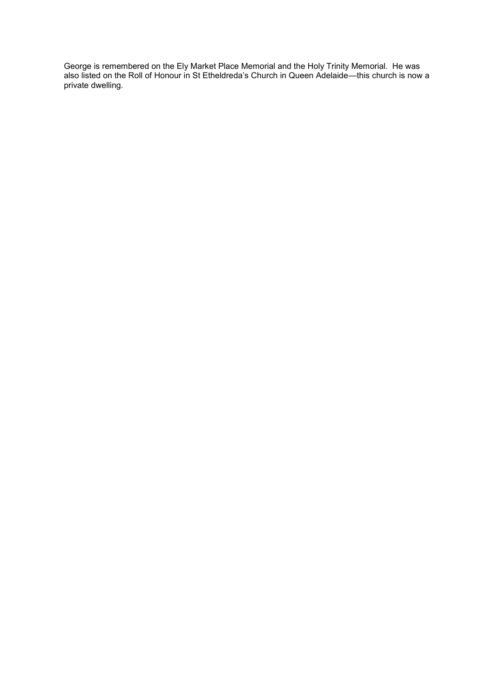George is remembered on the Ely Market Place Memorial and the Holy Trinity Memorial. He was also listed on the Roll of Honour in St Etheldreda's Church in Queen Adelaide—this church is now a private dwelling.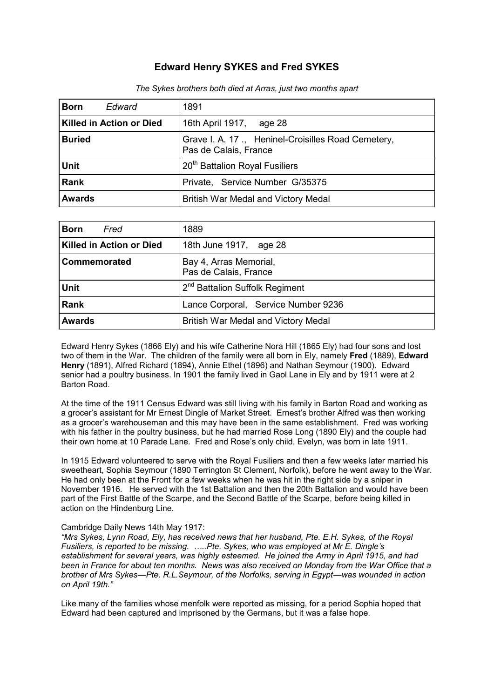# **Edward Henry SYKES and Fred SYKES**

| Edward<br><b>Born</b>    | 1891                                                                        |
|--------------------------|-----------------------------------------------------------------------------|
| Killed in Action or Died | 16th April 1917, age 28                                                     |
| <b>Buried</b>            | Grave I. A. 17., Heninel-Croisilles Road Cemetery,<br>Pas de Calais, France |
| <b>Unit</b>              | 20 <sup>th</sup> Battalion Royal Fusiliers                                  |
| <b>Rank</b>              | Private, Service Number G/35375                                             |
| <b>Awards</b>            | <b>British War Medal and Victory Medal</b>                                  |

*The Sykes brothers both died at Arras, just two months apart*

| Fred<br><b>Born</b>      | 1889                                            |
|--------------------------|-------------------------------------------------|
| Killed in Action or Died | 18th June 1917, age 28                          |
| Commemorated             | Bay 4, Arras Memorial,<br>Pas de Calais, France |
| <b>Unit</b>              | 2 <sup>nd</sup> Battalion Suffolk Regiment      |
| Rank                     | Lance Corporal, Service Number 9236             |
| <b>Awards</b>            | British War Medal and Victory Medal             |

Edward Henry Sykes (1866 Ely) and his wife Catherine Nora Hill (1865 Ely) had four sons and lost two of them in the War. The children of the family were all born in Ely, namely **Fred** (1889), **Edward Henry** (1891), Alfred Richard (1894), Annie Ethel (1896) and Nathan Seymour (1900). Edward senior had a poultry business. In 1901 the family lived in Gaol Lane in Ely and by 1911 were at 2 Barton Road.

At the time of the 1911 Census Edward was still living with his family in Barton Road and working as a grocer's assistant for Mr Ernest Dingle of Market Street. Ernest's brother Alfred was then working as a grocer's warehouseman and this may have been in the same establishment. Fred was working with his father in the poultry business, but he had married Rose Long (1890 Ely) and the couple had their own home at 10 Parade Lane. Fred and Rose's only child, Evelyn, was born in late 1911.

In 1915 Edward volunteered to serve with the Royal Fusiliers and then a few weeks later married his sweetheart, Sophia Seymour (1890 Terrington St Clement, Norfolk), before he went away to the War. He had only been at the Front for a few weeks when he was hit in the right side by a sniper in November 1916. He served with the 1st Battalion and then the 20th Battalion and would have been part of the First Battle of the Scarpe, and the Second Battle of the Scarpe, before being killed in action on the Hindenburg Line.

#### Cambridge Daily News 14th May 1917:

*"Mrs Sykes, Lynn Road, Ely, has received news that her husband, Pte. E.H. Sykes, of the Royal Fusiliers, is reported to be missing. …..Pte. Sykes, who was employed at Mr E. Dingle's establishment for several years, was highly esteemed. He joined the Army in April 1915, and had been in France for about ten months. News was also received on Monday from the War Office that a brother of Mrs Sykes—Pte. R.L.Seymour, of the Norfolks, serving in Egypt—was wounded in action on April 19th."*

Like many of the families whose menfolk were reported as missing, for a period Sophia hoped that Edward had been captured and imprisoned by the Germans, but it was a false hope.